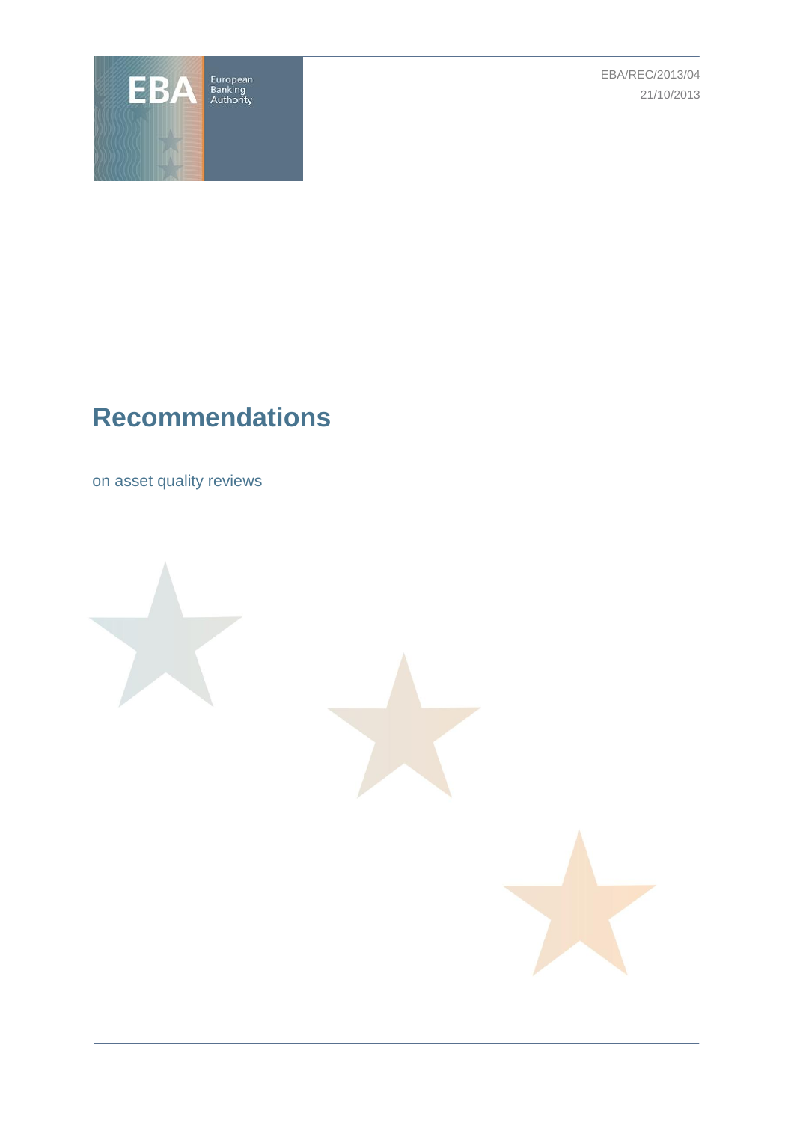

EBA/REC/2013/04 21/10/2013

# **Recommendations**

on asset quality reviews



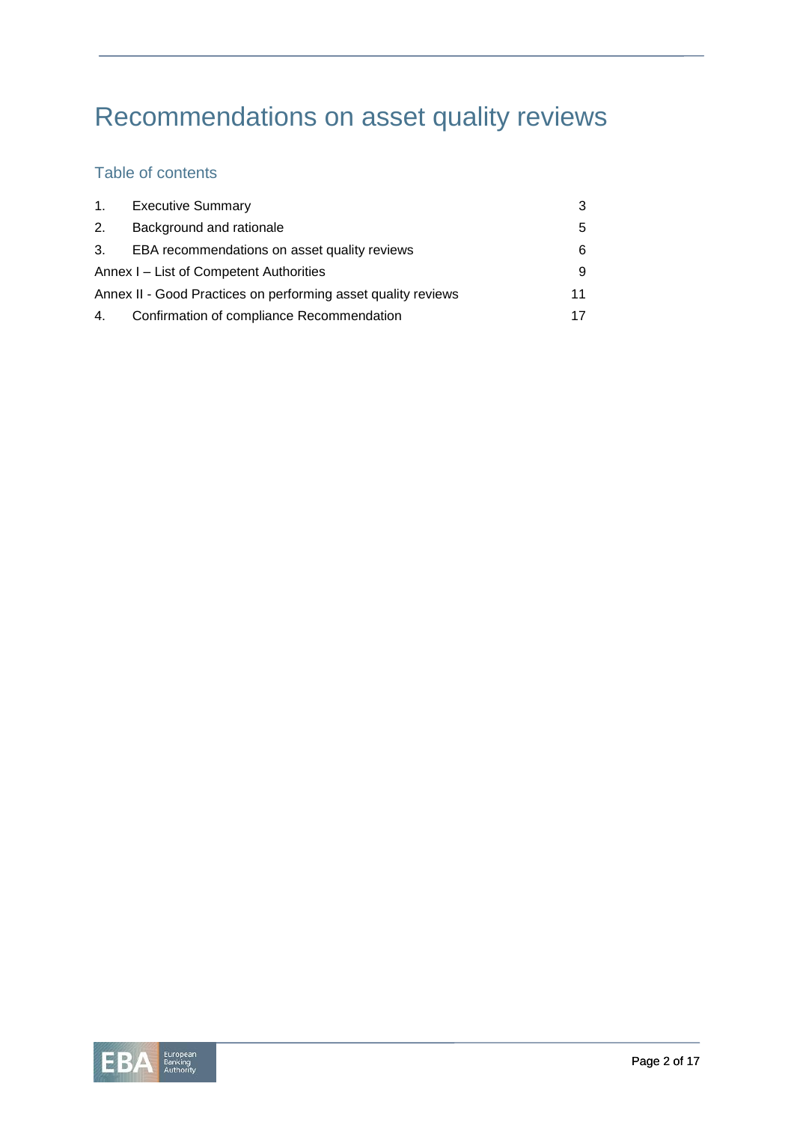# Recommendations on asset quality reviews

# Table of contents

| 1.                                                            | <b>Executive Summary</b>                     | 3  |  |  |
|---------------------------------------------------------------|----------------------------------------------|----|--|--|
| 2.                                                            | Background and rationale                     | 5  |  |  |
| 3.                                                            | EBA recommendations on asset quality reviews | 6  |  |  |
| Annex I – List of Competent Authorities                       |                                              |    |  |  |
| Annex II - Good Practices on performing asset quality reviews |                                              |    |  |  |
| 4.                                                            | Confirmation of compliance Recommendation    | 17 |  |  |

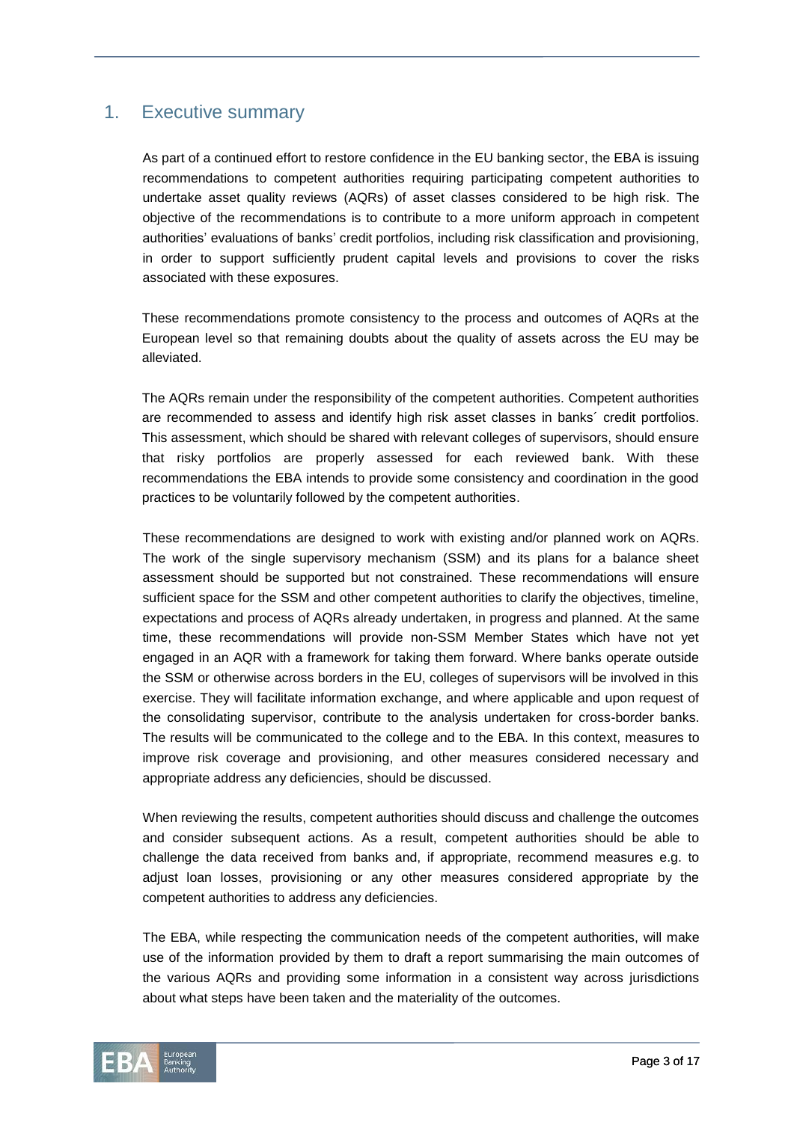## 1. Executive summary

As part of a continued effort to restore confidence in the EU banking sector, the EBA is issuing recommendations to competent authorities requiring participating competent authorities to undertake asset quality reviews (AQRs) of asset classes considered to be high risk. The objective of the recommendations is to contribute to a more uniform approach in competent authorities' evaluations of banks' credit portfolios, including risk classification and provisioning, in order to support sufficiently prudent capital levels and provisions to cover the risks associated with these exposures.

These recommendations promote consistency to the process and outcomes of AQRs at the European level so that remaining doubts about the quality of assets across the EU may be alleviated.

The AQRs remain under the responsibility of the competent authorities. Competent authorities are recommended to assess and identify high risk asset classes in banks´ credit portfolios. This assessment, which should be shared with relevant colleges of supervisors, should ensure that risky portfolios are properly assessed for each reviewed bank. With these recommendations the EBA intends to provide some consistency and coordination in the good practices to be voluntarily followed by the competent authorities.

These recommendations are designed to work with existing and/or planned work on AQRs. The work of the single supervisory mechanism (SSM) and its plans for a balance sheet assessment should be supported but not constrained. These recommendations will ensure sufficient space for the SSM and other competent authorities to clarify the objectives, timeline, expectations and process of AQRs already undertaken, in progress and planned. At the same time, these recommendations will provide non-SSM Member States which have not yet engaged in an AQR with a framework for taking them forward. Where banks operate outside the SSM or otherwise across borders in the EU, colleges of supervisors will be involved in this exercise. They will facilitate information exchange, and where applicable and upon request of the consolidating supervisor, contribute to the analysis undertaken for cross-border banks. The results will be communicated to the college and to the EBA. In this context, measures to improve risk coverage and provisioning, and other measures considered necessary and appropriate address any deficiencies, should be discussed.

When reviewing the results, competent authorities should discuss and challenge the outcomes and consider subsequent actions. As a result, competent authorities should be able to challenge the data received from banks and, if appropriate, recommend measures e.g. to adjust loan losses, provisioning or any other measures considered appropriate by the competent authorities to address any deficiencies.

The EBA, while respecting the communication needs of the competent authorities, will make use of the information provided by them to draft a report summarising the main outcomes of the various AQRs and providing some information in a consistent way across jurisdictions about what steps have been taken and the materiality of the outcomes.

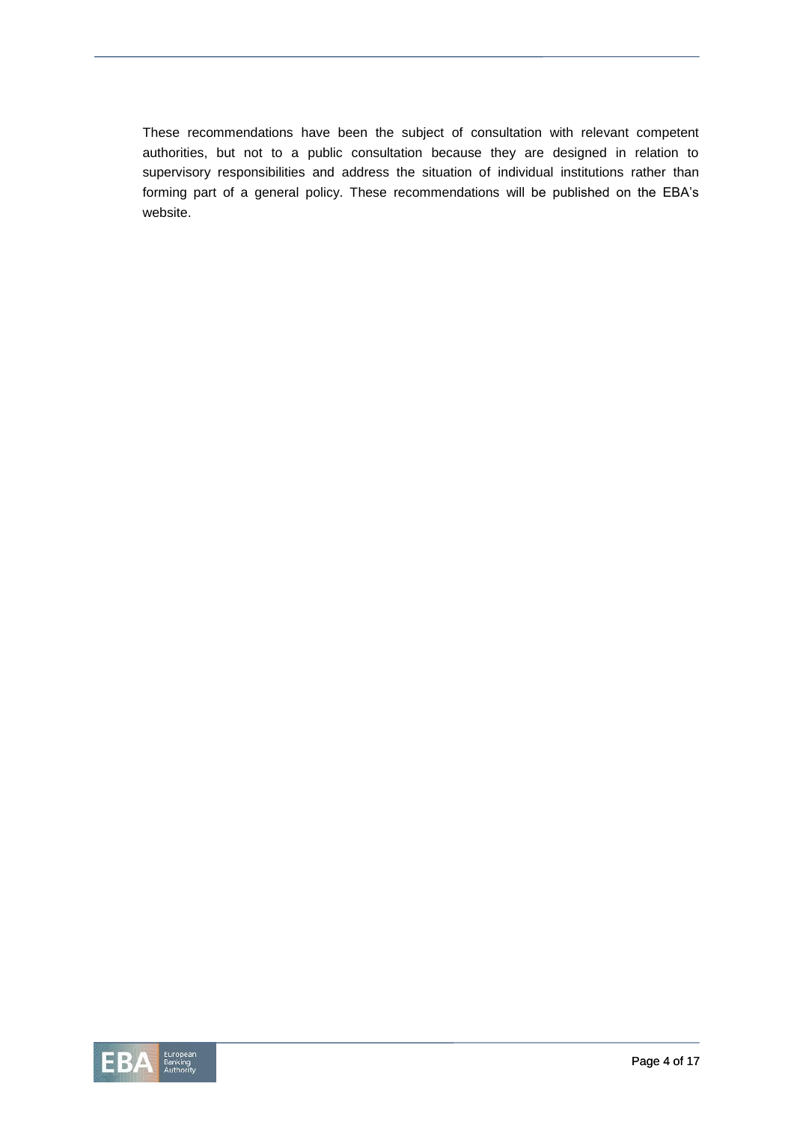These recommendations have been the subject of consultation with relevant competent authorities, but not to a public consultation because they are designed in relation to supervisory responsibilities and address the situation of individual institutions rather than forming part of a general policy. These recommendations will be published on the EBA's website.

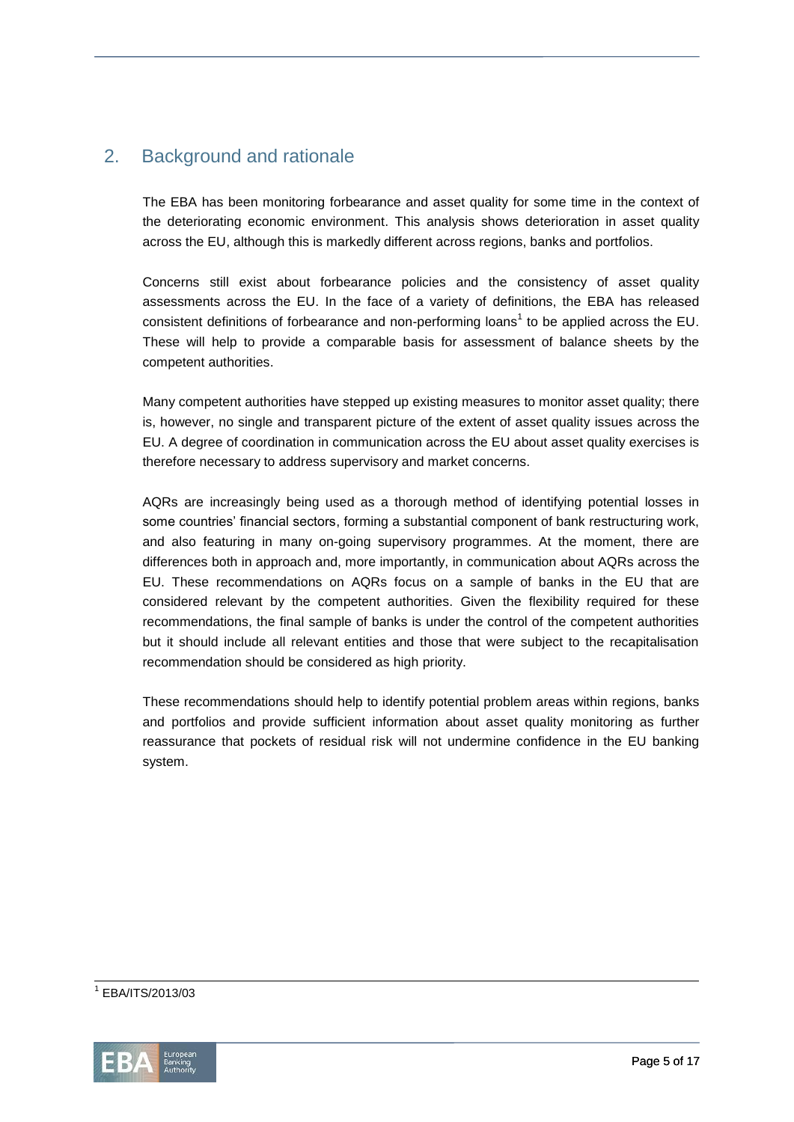# 2. Background and rationale

The EBA has been monitoring forbearance and asset quality for some time in the context of the deteriorating economic environment. This analysis shows deterioration in asset quality across the EU, although this is markedly different across regions, banks and portfolios.

Concerns still exist about forbearance policies and the consistency of asset quality assessments across the EU. In the face of a variety of definitions, the EBA has released consistent definitions of forbearance and non-performing loans<sup>1</sup> to be applied across the EU. These will help to provide a comparable basis for assessment of balance sheets by the competent authorities.

Many competent authorities have stepped up existing measures to monitor asset quality; there is, however, no single and transparent picture of the extent of asset quality issues across the EU. A degree of coordination in communication across the EU about asset quality exercises is therefore necessary to address supervisory and market concerns.

AQRs are increasingly being used as a thorough method of identifying potential losses in some countries' financial sectors, forming a substantial component of bank restructuring work, and also featuring in many on-going supervisory programmes. At the moment, there are differences both in approach and, more importantly, in communication about AQRs across the EU. These recommendations on AQRs focus on a sample of banks in the EU that are considered relevant by the competent authorities. Given the flexibility required for these recommendations, the final sample of banks is under the control of the competent authorities but it should include all relevant entities and those that were subject to the recapitalisation recommendation should be considered as high priority.

These recommendations should help to identify potential problem areas within regions, banks and portfolios and provide sufficient information about asset quality monitoring as further reassurance that pockets of residual risk will not undermine confidence in the EU banking system.

1 EBA/ITS/2013/03

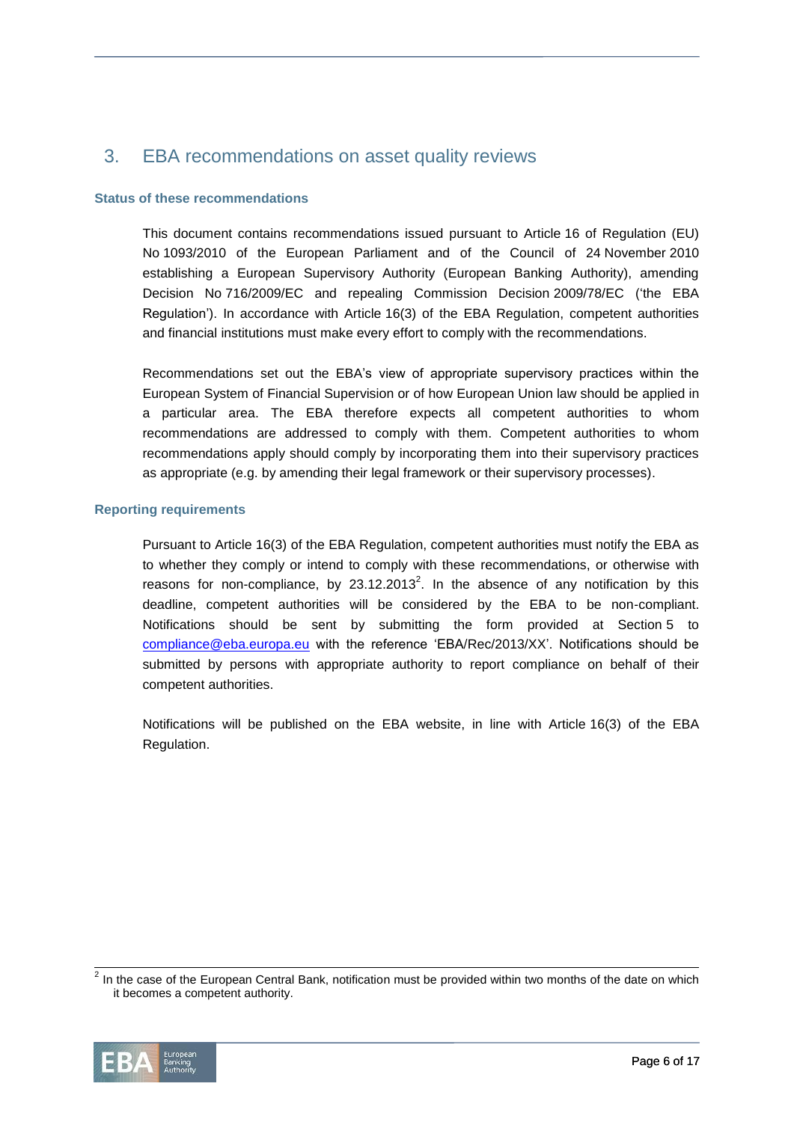## 3. EBA recommendations on asset quality reviews

#### **Status of these recommendations**

This document contains recommendations issued pursuant to Article 16 of Regulation (EU) No 1093/2010 of the European Parliament and of the Council of 24 November 2010 establishing a European Supervisory Authority (European Banking Authority), amending Decision No 716/2009/EC and repealing Commission Decision 2009/78/EC ('the EBA Regulation'). In accordance with Article 16(3) of the EBA Regulation, competent authorities and financial institutions must make every effort to comply with the recommendations.

Recommendations set out the EBA's view of appropriate supervisory practices within the European System of Financial Supervision or of how European Union law should be applied in a particular area. The EBA therefore expects all competent authorities to whom recommendations are addressed to comply with them. Competent authorities to whom recommendations apply should comply by incorporating them into their supervisory practices as appropriate (e.g. by amending their legal framework or their supervisory processes).

#### **Reporting requirements**

Pursuant to Article 16(3) of the EBA Regulation, competent authorities must notify the EBA as to whether they comply or intend to comply with these recommendations, or otherwise with reasons for non-compliance, by 23.12.2013<sup>2</sup>. In the absence of any notification by this deadline, competent authorities will be considered by the EBA to be non-compliant. Notifications should be sent by submitting the form provided at Section 5 to [compliance@eba.europa.eu](mailto:compliance@eba.europa.eu) with the reference 'EBA/Rec/2013/XX'. Notifications should be submitted by persons with appropriate authority to report compliance on behalf of their competent authorities.

Notifications will be published on the EBA website, in line with Article 16(3) of the EBA Regulation.

 2 In the case of the European Central Bank, notification must be provided within two months of the date on which it becomes a competent authority.

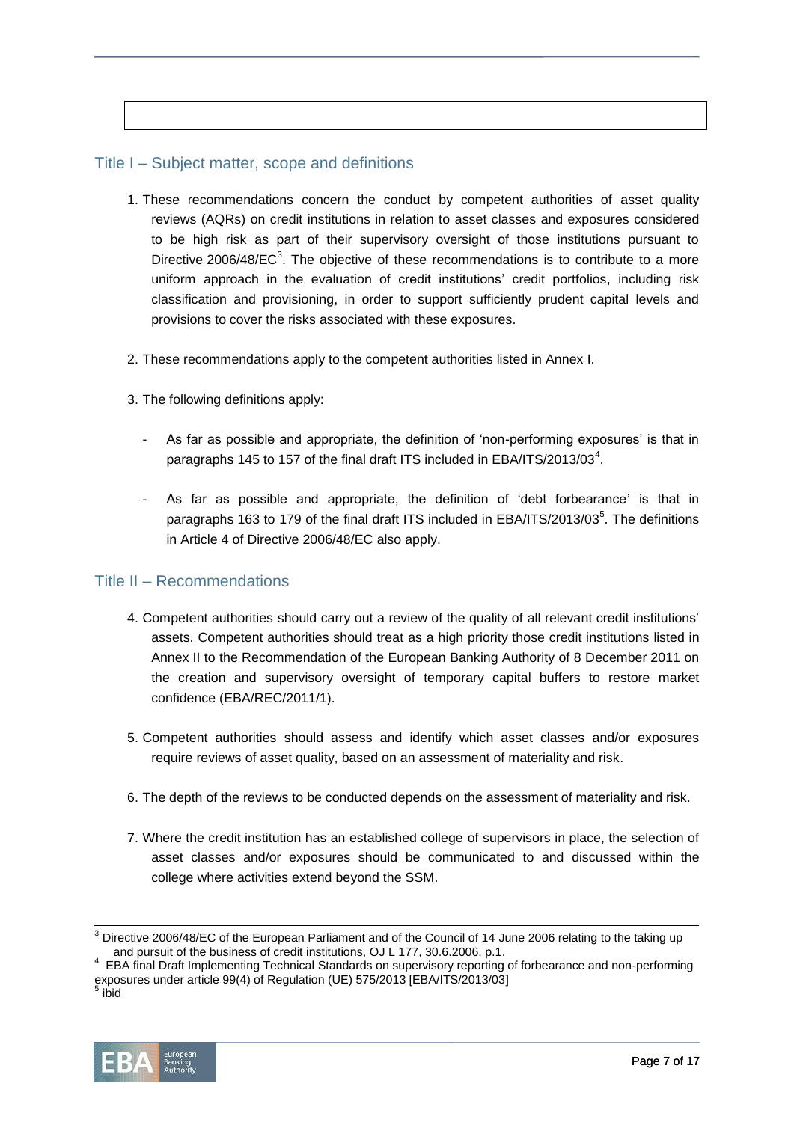## Title I – Subject matter, scope and definitions

- 1. These recommendations concern the conduct by competent authorities of asset quality reviews (AQRs) on credit institutions in relation to asset classes and exposures considered to be high risk as part of their supervisory oversight of those institutions pursuant to Directive 2006/48/EC $3$ . The objective of these recommendations is to contribute to a more uniform approach in the evaluation of credit institutions' credit portfolios, including risk classification and provisioning, in order to support sufficiently prudent capital levels and provisions to cover the risks associated with these exposures.
- 2. These recommendations apply to the competent authorities listed in Annex I.
- 3. The following definitions apply:
	- As far as possible and appropriate, the definition of 'non-performing exposures' is that in paragraphs 145 to 157 of the final draft ITS included in EBA/ITS/2013/03<sup>4</sup>.
	- As far as possible and appropriate, the definition of 'debt forbearance' is that in paragraphs 163 to 179 of the final draft ITS included in EBA/ITS/2013/03<sup>5</sup>. The definitions in Article 4 of Directive 2006/48/EC also apply.

#### Title II – Recommendations

- 4. Competent authorities should carry out a review of the quality of all relevant credit institutions' assets. Competent authorities should treat as a high priority those credit institutions listed in Annex II to the Recommendation of the European Banking Authority of 8 December 2011 on the creation and supervisory oversight of temporary capital buffers to restore market confidence (EBA/REC/2011/1).
- 5. Competent authorities should assess and identify which asset classes and/or exposures require reviews of asset quality, based on an assessment of materiality and risk.
- 6. The depth of the reviews to be conducted depends on the assessment of materiality and risk.
- 7. Where the credit institution has an established college of supervisors in place, the selection of asset classes and/or exposures should be communicated to and discussed within the college where activities extend beyond the SSM.

l



 $3$  Directive 2006/48/EC of the European Parliament and of the Council of 14 June 2006 relating to the taking up and pursuit of the business of credit institutions, OJ L 177, 30.6.2006, p.1.

<sup>4</sup> EBA final Draft Implementing Technical Standards on supervisory reporting of forbearance and non-performing exposures under article 99(4) of Regulation (UE) 575/2013 [EBA/ITS/2013/03]<br><sup>5</sup> ibid

ibid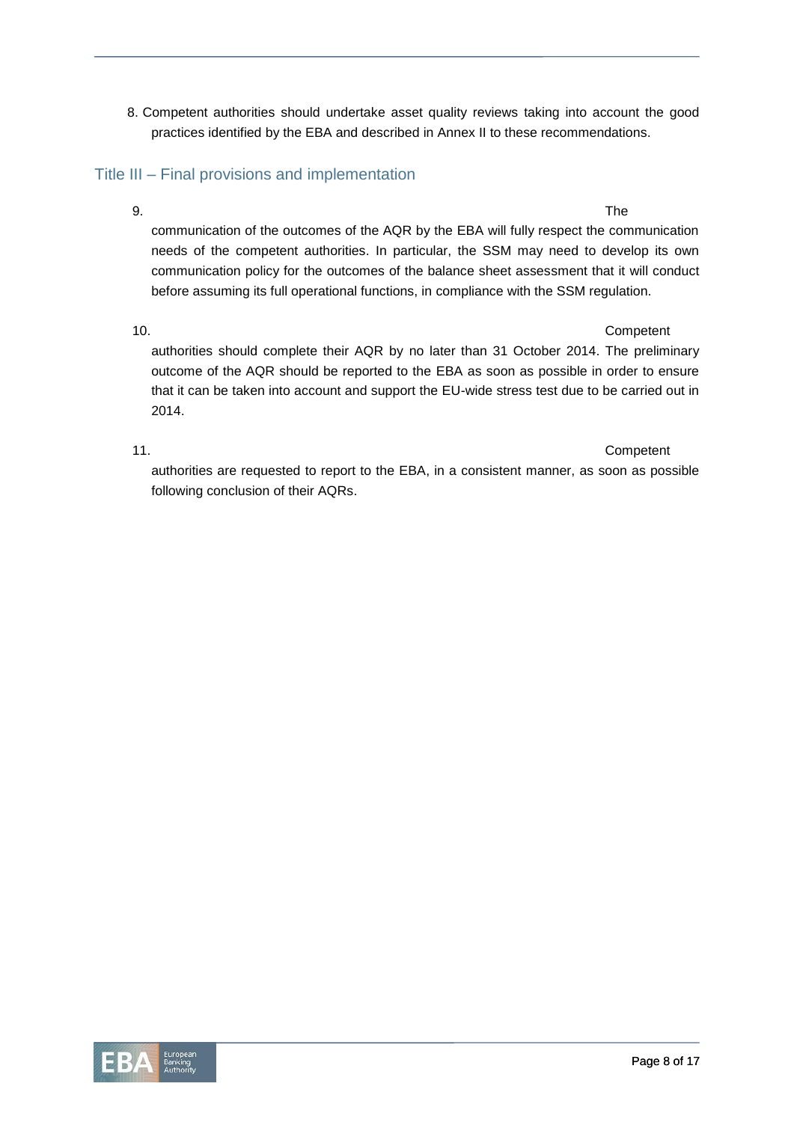8. Competent authorities should undertake asset quality reviews taking into account the good practices identified by the EBA and described in Annex II to these recommendations.

## Title III – Final provisions and implementation

9. The communication of the outcomes of the AQR by the EBA will fully respect the communication needs of the competent authorities. In particular, the SSM may need to develop its own communication policy for the outcomes of the balance sheet assessment that it will conduct before assuming its full operational functions, in compliance with the SSM regulation.

## 10. Competent

authorities should complete their AQR by no later than 31 October 2014. The preliminary outcome of the AQR should be reported to the EBA as soon as possible in order to ensure that it can be taken into account and support the EU-wide stress test due to be carried out in 2014.

11. Competent authorities are requested to report to the EBA, in a consistent manner, as soon as possible following conclusion of their AQRs.

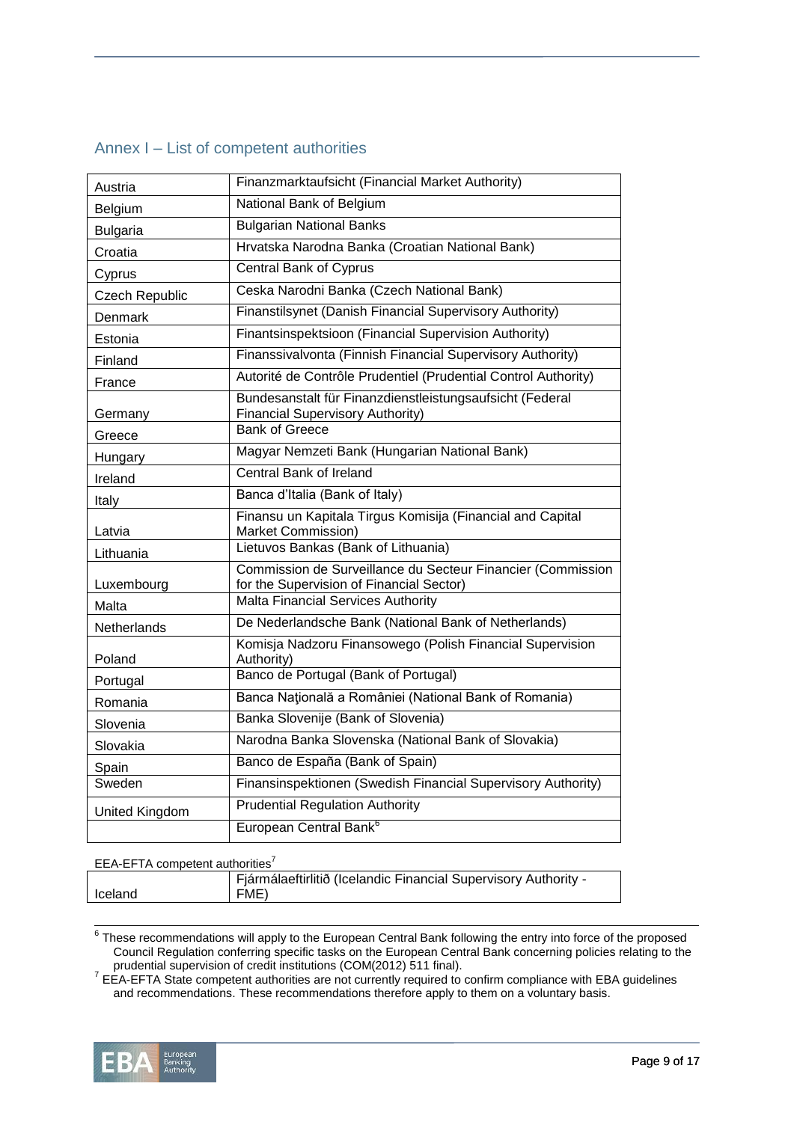|  |  | Annex I – List of competent authorities |
|--|--|-----------------------------------------|
|  |  |                                         |

| Austria         | Finanzmarktaufsicht (Financial Market Authority)                                                        |  |  |  |  |  |
|-----------------|---------------------------------------------------------------------------------------------------------|--|--|--|--|--|
| Belgium         | National Bank of Belgium                                                                                |  |  |  |  |  |
| <b>Bulgaria</b> | <b>Bulgarian National Banks</b>                                                                         |  |  |  |  |  |
| Croatia         | Hrvatska Narodna Banka (Croatian National Bank)                                                         |  |  |  |  |  |
| Cyprus          | <b>Central Bank of Cyprus</b>                                                                           |  |  |  |  |  |
| Czech Republic  | Ceska Narodni Banka (Czech National Bank)                                                               |  |  |  |  |  |
| Denmark         | Finanstilsynet (Danish Financial Supervisory Authority)                                                 |  |  |  |  |  |
| Estonia         | Finantsinspektsioon (Financial Supervision Authority)                                                   |  |  |  |  |  |
| Finland         | Finanssivalvonta (Finnish Financial Supervisory Authority)                                              |  |  |  |  |  |
| France          | Autorité de Contrôle Prudentiel (Prudential Control Authority)                                          |  |  |  |  |  |
| Germany         | Bundesanstalt für Finanzdienstleistungsaufsicht (Federal<br><b>Financial Supervisory Authority)</b>     |  |  |  |  |  |
| Greece          | <b>Bank of Greece</b>                                                                                   |  |  |  |  |  |
| Hungary         | Magyar Nemzeti Bank (Hungarian National Bank)                                                           |  |  |  |  |  |
| Ireland         | Central Bank of Ireland                                                                                 |  |  |  |  |  |
| Italy           | Banca d'Italia (Bank of Italy)                                                                          |  |  |  |  |  |
| Latvia          | Finansu un Kapitala Tirgus Komisija (Financial and Capital<br>Market Commission)                        |  |  |  |  |  |
| Lithuania       | Lietuvos Bankas (Bank of Lithuania)                                                                     |  |  |  |  |  |
| Luxembourg      | Commission de Surveillance du Secteur Financier (Commission<br>for the Supervision of Financial Sector) |  |  |  |  |  |
| Malta           | Malta Financial Services Authority                                                                      |  |  |  |  |  |
| Netherlands     | De Nederlandsche Bank (National Bank of Netherlands)                                                    |  |  |  |  |  |
| Poland          | Komisja Nadzoru Finansowego (Polish Financial Supervision<br>Authority)                                 |  |  |  |  |  |
| Portugal        | Banco de Portugal (Bank of Portugal)                                                                    |  |  |  |  |  |
| Romania         | Banca Națională a României (National Bank of Romania)                                                   |  |  |  |  |  |
| Slovenia        | Banka Slovenije (Bank of Slovenia)                                                                      |  |  |  |  |  |
| Slovakia        | Narodna Banka Slovenska (National Bank of Slovakia)                                                     |  |  |  |  |  |
| Spain           | Banco de España (Bank of Spain)                                                                         |  |  |  |  |  |
| Sweden          | Finansinspektionen (Swedish Financial Supervisory Authority)                                            |  |  |  |  |  |
| United Kingdom  | <b>Prudential Regulation Authority</b>                                                                  |  |  |  |  |  |
|                 | European Central Bank <sup>6</sup>                                                                      |  |  |  |  |  |

#### EEA-EFTA competent authorities<sup>7</sup>

|         | Fjármálaeftirlitið (Icelandic Financial Supervisory Authority - |
|---------|-----------------------------------------------------------------|
| Iceland | FME)                                                            |
|         |                                                                 |

 $^6$  These recommendations will apply to the European Central Bank following the entry into force of the proposed Council Regulation conferring specific tasks on the European Central Bank concerning policies relating to the prudential supervision of credit institutions (COM(2012) 511 final).

 $7$  EEA-EFTA State competent authorities are not currently required to confirm compliance with EBA guidelines and recommendations. These recommendations therefore apply to them on a voluntary basis.

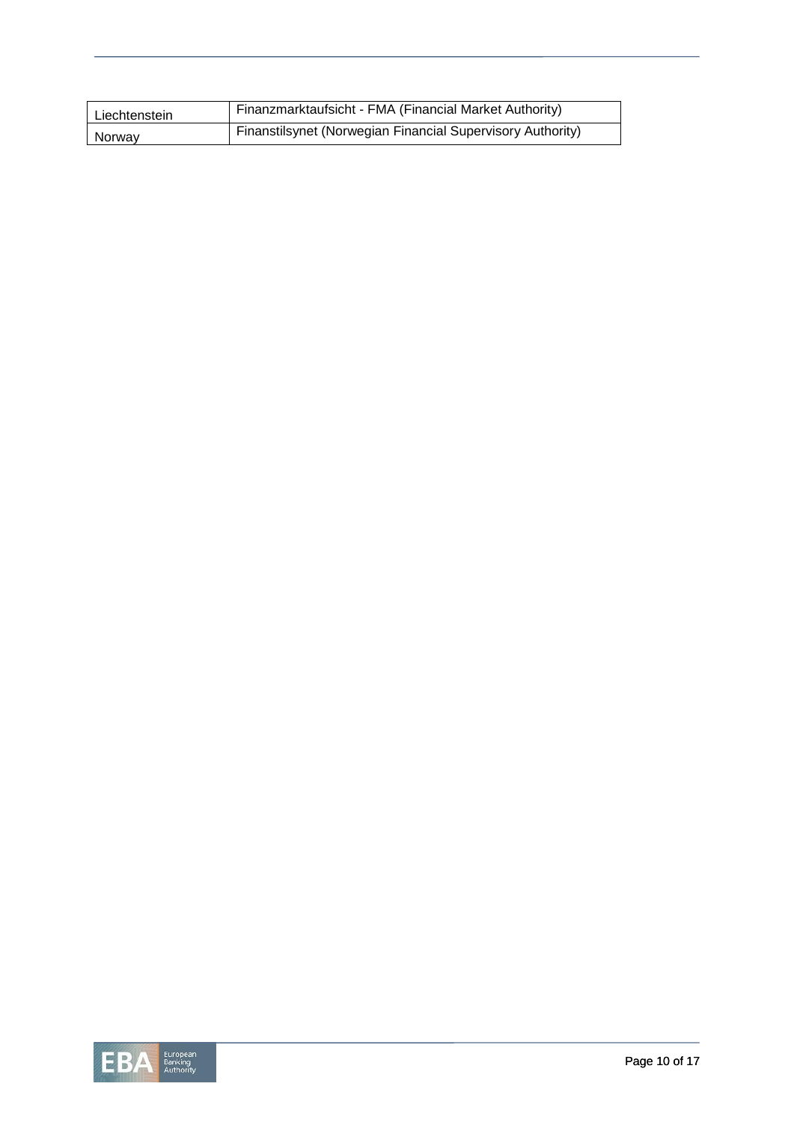| Liechtenstein | Finanzmarktaufsicht - FMA (Financial Market Authority)     |  |  |  |  |  |
|---------------|------------------------------------------------------------|--|--|--|--|--|
| Norway        | Finanstilsynet (Norwegian Financial Supervisory Authority) |  |  |  |  |  |

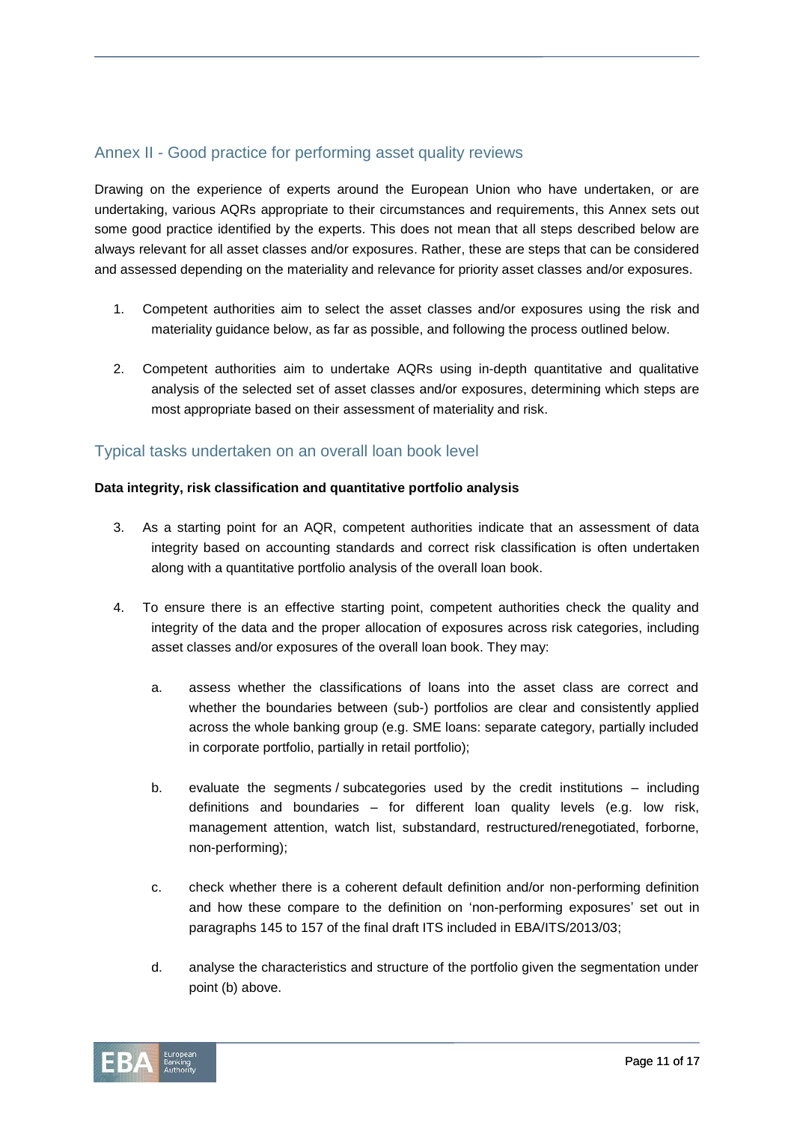## Annex II - Good practice for performing asset quality reviews

Drawing on the experience of experts around the European Union who have undertaken, or are undertaking, various AQRs appropriate to their circumstances and requirements, this Annex sets out some good practice identified by the experts. This does not mean that all steps described below are always relevant for all asset classes and/or exposures. Rather, these are steps that can be considered and assessed depending on the materiality and relevance for priority asset classes and/or exposures.

- 1. Competent authorities aim to select the asset classes and/or exposures using the risk and materiality guidance below, as far as possible, and following the process outlined below.
- 2. Competent authorities aim to undertake AQRs using in-depth quantitative and qualitative analysis of the selected set of asset classes and/or exposures, determining which steps are most appropriate based on their assessment of materiality and risk.

### Typical tasks undertaken on an overall loan book level

#### **Data integrity, risk classification and quantitative portfolio analysis**

- 3. As a starting point for an AQR, competent authorities indicate that an assessment of data integrity based on accounting standards and correct risk classification is often undertaken along with a quantitative portfolio analysis of the overall loan book.
- 4. To ensure there is an effective starting point, competent authorities check the quality and integrity of the data and the proper allocation of exposures across risk categories, including asset classes and/or exposures of the overall loan book. They may:
	- a. assess whether the classifications of loans into the asset class are correct and whether the boundaries between (sub-) portfolios are clear and consistently applied across the whole banking group (e.g. SME loans: separate category, partially included in corporate portfolio, partially in retail portfolio);
	- b. evaluate the segments / subcategories used by the credit institutions including definitions and boundaries – for different loan quality levels (e.g. low risk, management attention, watch list, substandard, restructured/renegotiated, forborne, non-performing);
	- c. check whether there is a coherent default definition and/or non-performing definition and how these compare to the definition on 'non-performing exposures' set out in paragraphs 145 to 157 of the final draft ITS included in EBA/ITS/2013/03;
	- d. analyse the characteristics and structure of the portfolio given the segmentation under point (b) above.

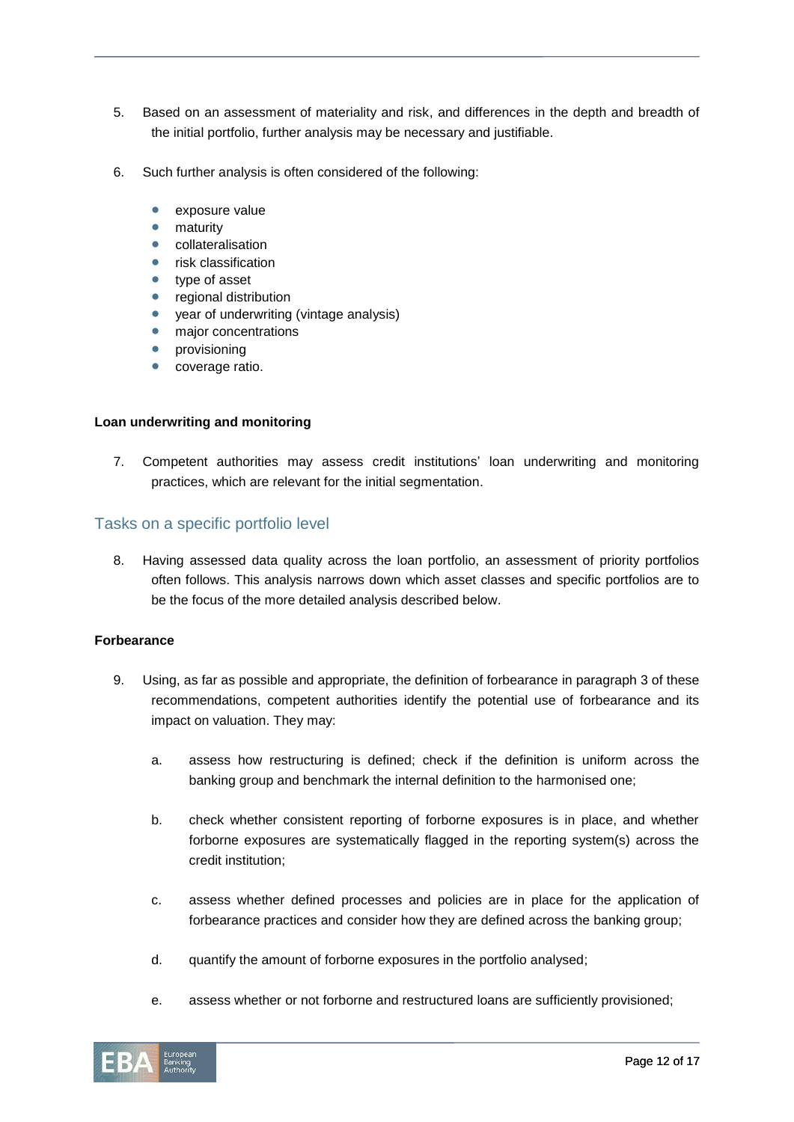- 5. Based on an assessment of materiality and risk, and differences in the depth and breadth of the initial portfolio, further analysis may be necessary and justifiable.
- 6. Such further analysis is often considered of the following:
	- exposure value
	- **•** maturity
	- collateralisation
	- risk classification
	- type of asset
	- regional distribution
	- year of underwriting (vintage analysis)
	- major concentrations
	- provisioning
	- coverage ratio.

#### **Loan underwriting and monitoring**

7. Competent authorities may assess credit institutions' loan underwriting and monitoring practices, which are relevant for the initial segmentation.

#### Tasks on a specific portfolio level

8. Having assessed data quality across the loan portfolio, an assessment of priority portfolios often follows. This analysis narrows down which asset classes and specific portfolios are to be the focus of the more detailed analysis described below.

#### **Forbearance**

- 9. Using, as far as possible and appropriate, the definition of forbearance in paragraph 3 of these recommendations, competent authorities identify the potential use of forbearance and its impact on valuation. They may:
	- a. assess how restructuring is defined; check if the definition is uniform across the banking group and benchmark the internal definition to the harmonised one;
	- b. check whether consistent reporting of forborne exposures is in place, and whether forborne exposures are systematically flagged in the reporting system(s) across the credit institution;
	- c. assess whether defined processes and policies are in place for the application of forbearance practices and consider how they are defined across the banking group;
	- d. quantify the amount of forborne exposures in the portfolio analysed;
	- e. assess whether or not forborne and restructured loans are sufficiently provisioned;

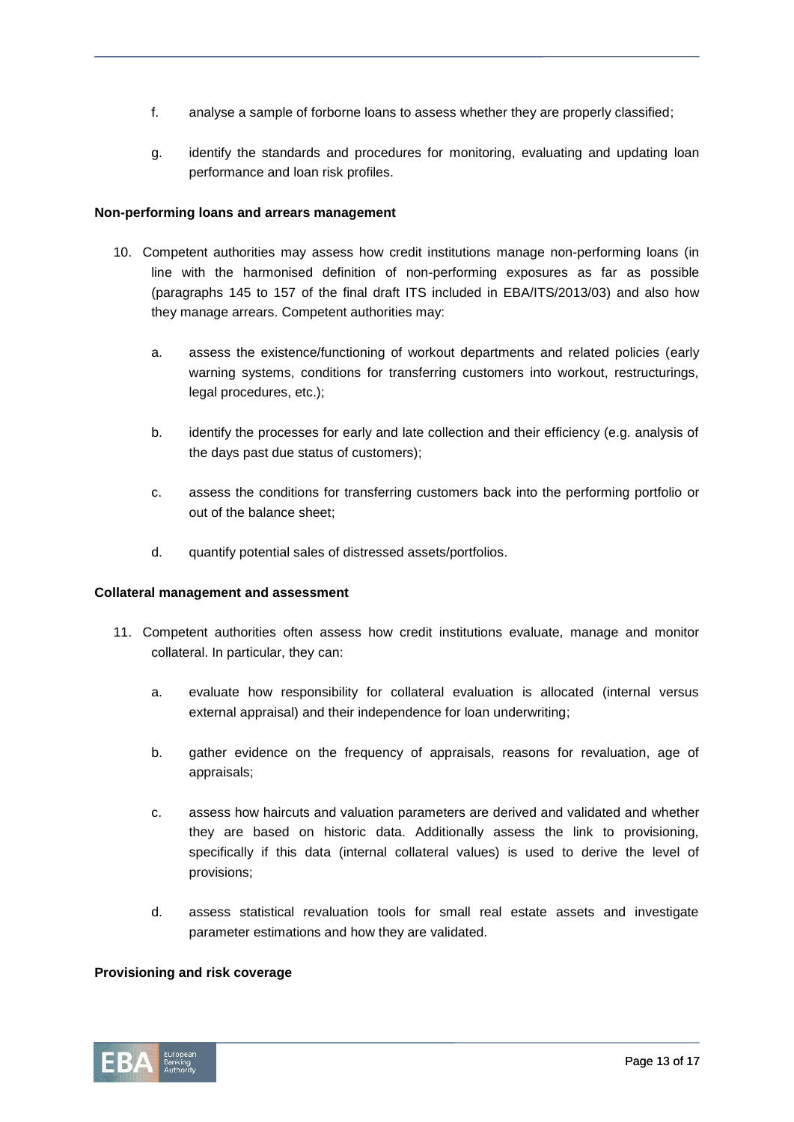- f. analyse a sample of forborne loans to assess whether they are properly classified;
- g. identify the standards and procedures for monitoring, evaluating and updating loan performance and loan risk profiles.

#### **Non-performing loans and arrears management**

- 10. Competent authorities may assess how credit institutions manage non-performing loans (in line with the harmonised definition of non-performing exposures as far as possible (paragraphs 145 to 157 of the final draft ITS included in EBA/ITS/2013/03) and also how they manage arrears. Competent authorities may:
	- a. assess the existence/functioning of workout departments and related policies (early warning systems, conditions for transferring customers into workout, restructurings, legal procedures, etc.);
	- b. identify the processes for early and late collection and their efficiency (e.g. analysis of the days past due status of customers);
	- c. assess the conditions for transferring customers back into the performing portfolio or out of the balance sheet;
	- d. quantify potential sales of distressed assets/portfolios.

#### **Collateral management and assessment**

- 11. Competent authorities often assess how credit institutions evaluate, manage and monitor collateral. In particular, they can:
	- a. evaluate how responsibility for collateral evaluation is allocated (internal versus external appraisal) and their independence for loan underwriting;
	- b. gather evidence on the frequency of appraisals, reasons for revaluation, age of appraisals;
	- c. assess how haircuts and valuation parameters are derived and validated and whether they are based on historic data. Additionally assess the link to provisioning, specifically if this data (internal collateral values) is used to derive the level of provisions;
	- d. assess statistical revaluation tools for small real estate assets and investigate parameter estimations and how they are validated.

#### **Provisioning and risk coverage**

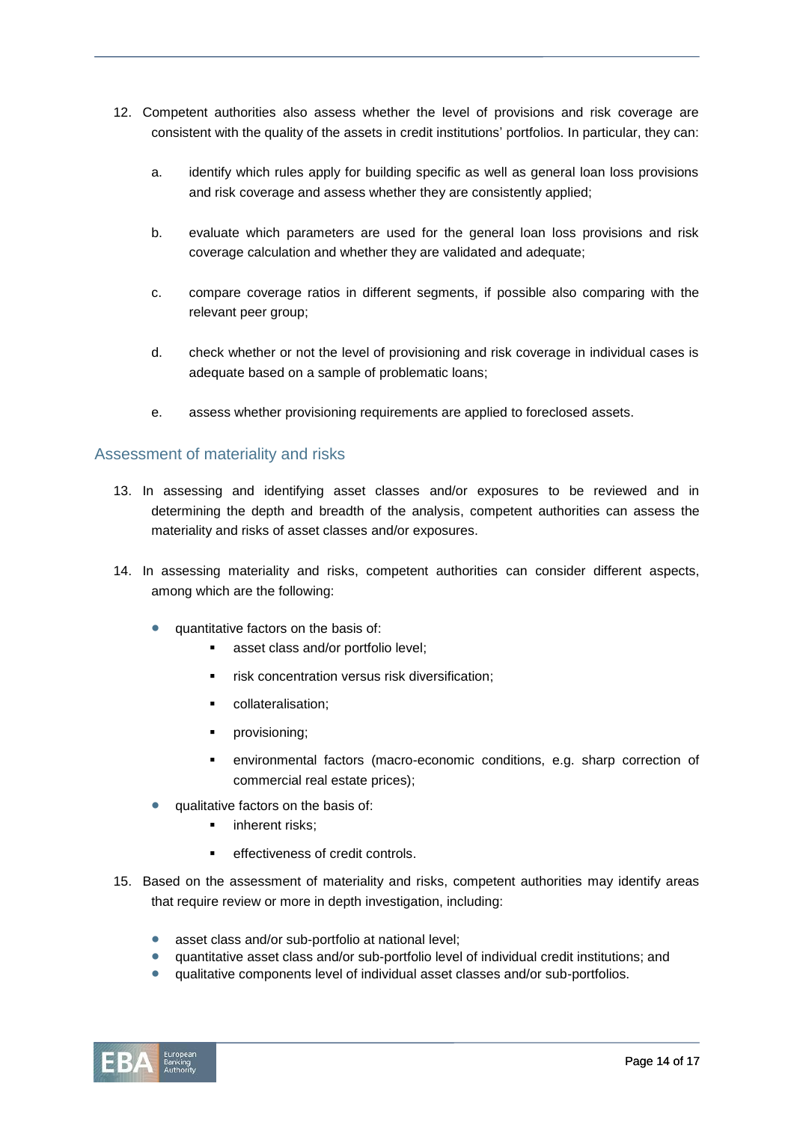- 12. Competent authorities also assess whether the level of provisions and risk coverage are consistent with the quality of the assets in credit institutions' portfolios. In particular, they can:
	- a. identify which rules apply for building specific as well as general loan loss provisions and risk coverage and assess whether they are consistently applied;
	- b. evaluate which parameters are used for the general loan loss provisions and risk coverage calculation and whether they are validated and adequate;
	- c. compare coverage ratios in different segments, if possible also comparing with the relevant peer group;
	- d. check whether or not the level of provisioning and risk coverage in individual cases is adequate based on a sample of problematic loans;
	- e. assess whether provisioning requirements are applied to foreclosed assets.

#### Assessment of materiality and risks

- 13. In assessing and identifying asset classes and/or exposures to be reviewed and in determining the depth and breadth of the analysis, competent authorities can assess the materiality and risks of asset classes and/or exposures.
- 14. In assessing materiality and risks, competent authorities can consider different aspects, among which are the following:
	- quantitative factors on the basis of:
		- asset class and/or portfolio level;
		- risk concentration versus risk diversification;
		- collateralisation;
		- **•** provisioning;
		- environmental factors (macro-economic conditions, e.g. sharp correction of commercial real estate prices);
	- qualitative factors on the basis of:
		- **·** inherent risks:
		- effectiveness of credit controls.
- 15. Based on the assessment of materiality and risks, competent authorities may identify areas that require review or more in depth investigation, including:
	- asset class and/or sub-portfolio at national level;
	- quantitative asset class and/or sub-portfolio level of individual credit institutions; and
	- qualitative components level of individual asset classes and/or sub-portfolios.

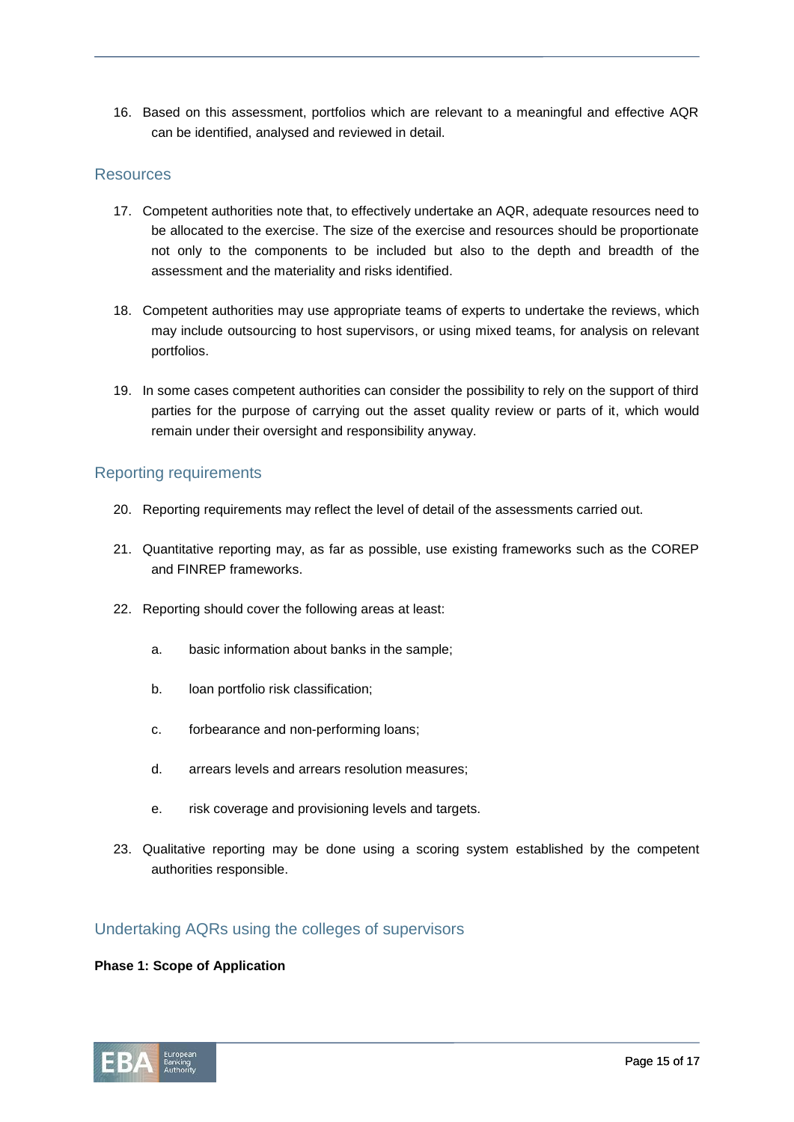16. Based on this assessment, portfolios which are relevant to a meaningful and effective AQR can be identified, analysed and reviewed in detail.

#### Resources

- 17. Competent authorities note that, to effectively undertake an AQR, adequate resources need to be allocated to the exercise. The size of the exercise and resources should be proportionate not only to the components to be included but also to the depth and breadth of the assessment and the materiality and risks identified.
- 18. Competent authorities may use appropriate teams of experts to undertake the reviews, which may include outsourcing to host supervisors, or using mixed teams, for analysis on relevant portfolios.
- 19. In some cases competent authorities can consider the possibility to rely on the support of third parties for the purpose of carrying out the asset quality review or parts of it, which would remain under their oversight and responsibility anyway.

### Reporting requirements

- 20. Reporting requirements may reflect the level of detail of the assessments carried out.
- 21. Quantitative reporting may, as far as possible, use existing frameworks such as the COREP and FINREP frameworks.
- 22. Reporting should cover the following areas at least:
	- a. basic information about banks in the sample;
	- b. loan portfolio risk classification;
	- c. forbearance and non-performing loans;
	- d. arrears levels and arrears resolution measures;
	- e. risk coverage and provisioning levels and targets.
- 23. Qualitative reporting may be done using a scoring system established by the competent authorities responsible.

## Undertaking AQRs using the colleges of supervisors

#### **Phase 1: Scope of Application**

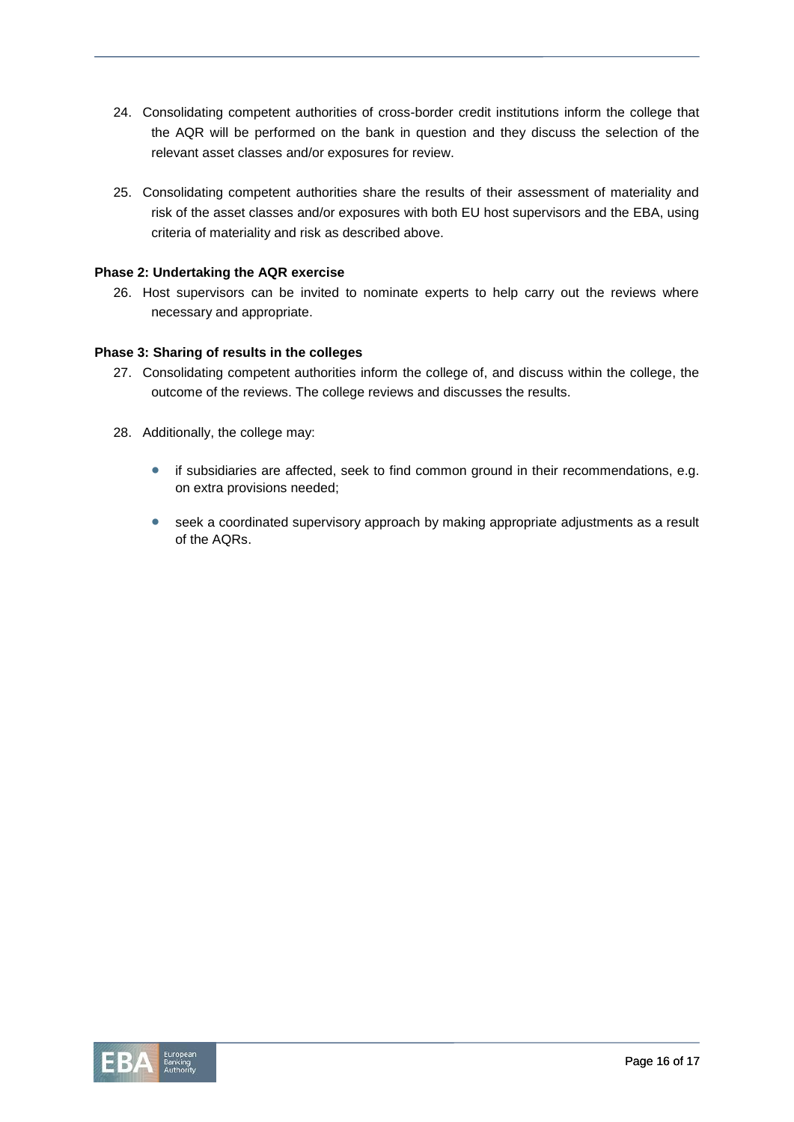- 24. Consolidating competent authorities of cross-border credit institutions inform the college that the AQR will be performed on the bank in question and they discuss the selection of the relevant asset classes and/or exposures for review.
- 25. Consolidating competent authorities share the results of their assessment of materiality and risk of the asset classes and/or exposures with both EU host supervisors and the EBA, using criteria of materiality and risk as described above.

#### **Phase 2: Undertaking the AQR exercise**

26. Host supervisors can be invited to nominate experts to help carry out the reviews where necessary and appropriate.

#### **Phase 3: Sharing of results in the colleges**

- 27. Consolidating competent authorities inform the college of, and discuss within the college, the outcome of the reviews. The college reviews and discusses the results.
- 28. Additionally, the college may:
	- if subsidiaries are affected, seek to find common ground in their recommendations, e.g. on extra provisions needed;
	- seek a coordinated supervisory approach by making appropriate adjustments as a result of the AQRs.